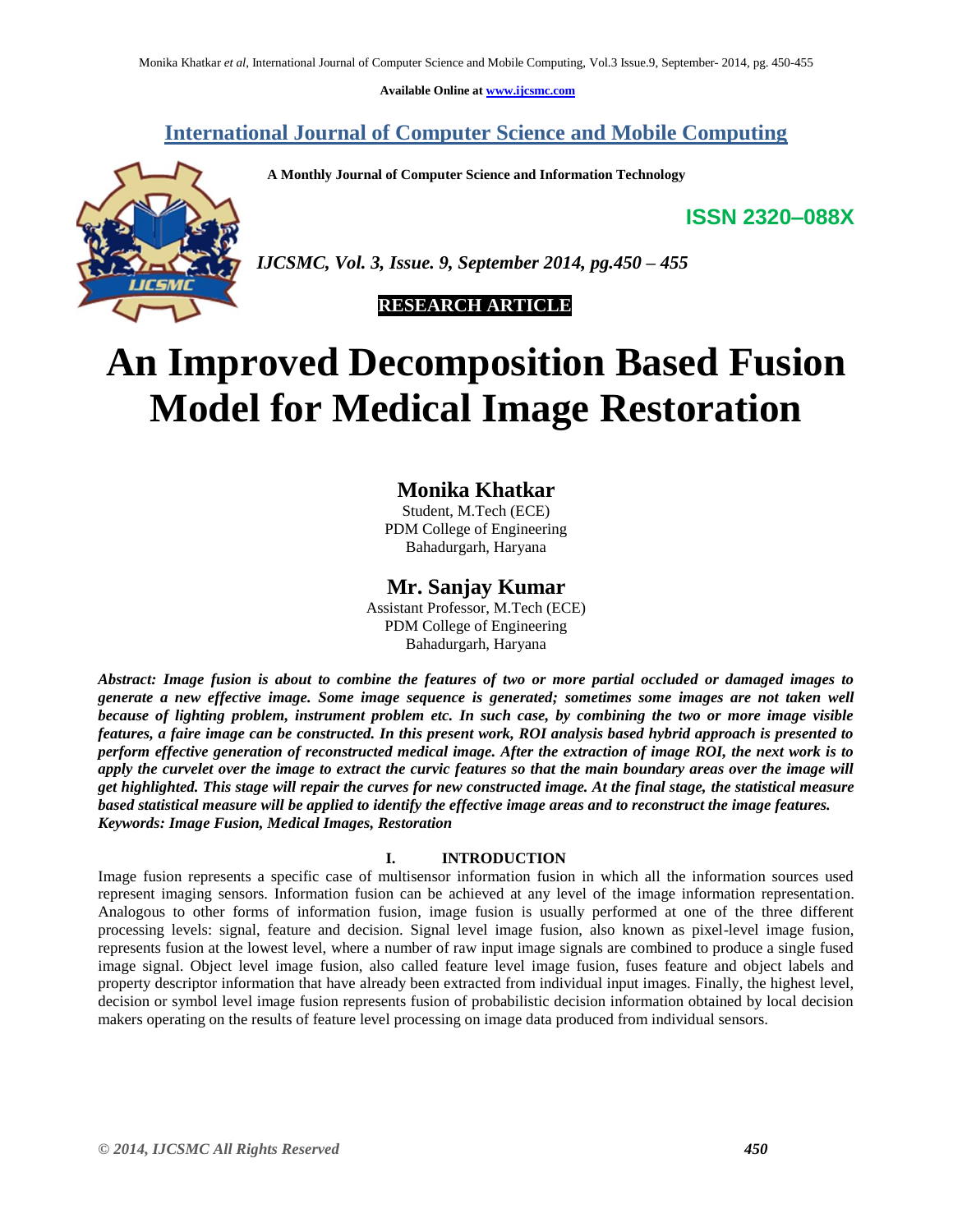**Available Online at [www.ijcsmc.com](http://www.ijcsmc.com/)**

# **International Journal of Computer Science and Mobile Computing**

 **A Monthly Journal of Computer Science and Information Technology**

**ISSN 2320–088X**

*IJCSMC, Vol. 3, Issue. 9, September 2014, pg.450 – 455*



# **An Improved Decomposition Based Fusion Model for Medical Image Restoration**

# **Monika Khatkar**

Student, M.Tech (ECE) PDM College of Engineering Bahadurgarh, Haryana

# **Mr. Sanjay Kumar**

Assistant Professor, M.Tech (ECE) PDM College of Engineering Bahadurgarh, Haryana

*Abstract: Image fusion is about to combine the features of two or more partial occluded or damaged images to generate a new effective image. Some image sequence is generated; sometimes some images are not taken well because of lighting problem, instrument problem etc. In such case, by combining the two or more image visible features, a faire image can be constructed. In this present work, ROI analysis based hybrid approach is presented to perform effective generation of reconstructed medical image. After the extraction of image ROI, the next work is to*  apply the curvelet over the image to extract the curvic features so that the main boundary areas over the image will *get highlighted. This stage will repair the curves for new constructed image. At the final stage, the statistical measure based statistical measure will be applied to identify the effective image areas and to reconstruct the image features. Keywords: Image Fusion, Medical Images, Restoration*

## **I. INTRODUCTION**

Image fusion represents a specific case of multisensor information fusion in which all the information sources used represent imaging sensors. Information fusion can be achieved at any level of the image information representation. Analogous to other forms of information fusion, image fusion is usually performed at one of the three different processing levels: signal, feature and decision. Signal level image fusion, also known as pixel-level image fusion, represents fusion at the lowest level, where a number of raw input image signals are combined to produce a single fused image signal. Object level image fusion, also called feature level image fusion, fuses feature and object labels and property descriptor information that have already been extracted from individual input images. Finally, the highest level, decision or symbol level image fusion represents fusion of probabilistic decision information obtained by local decision makers operating on the results of feature level processing on image data produced from individual sensors.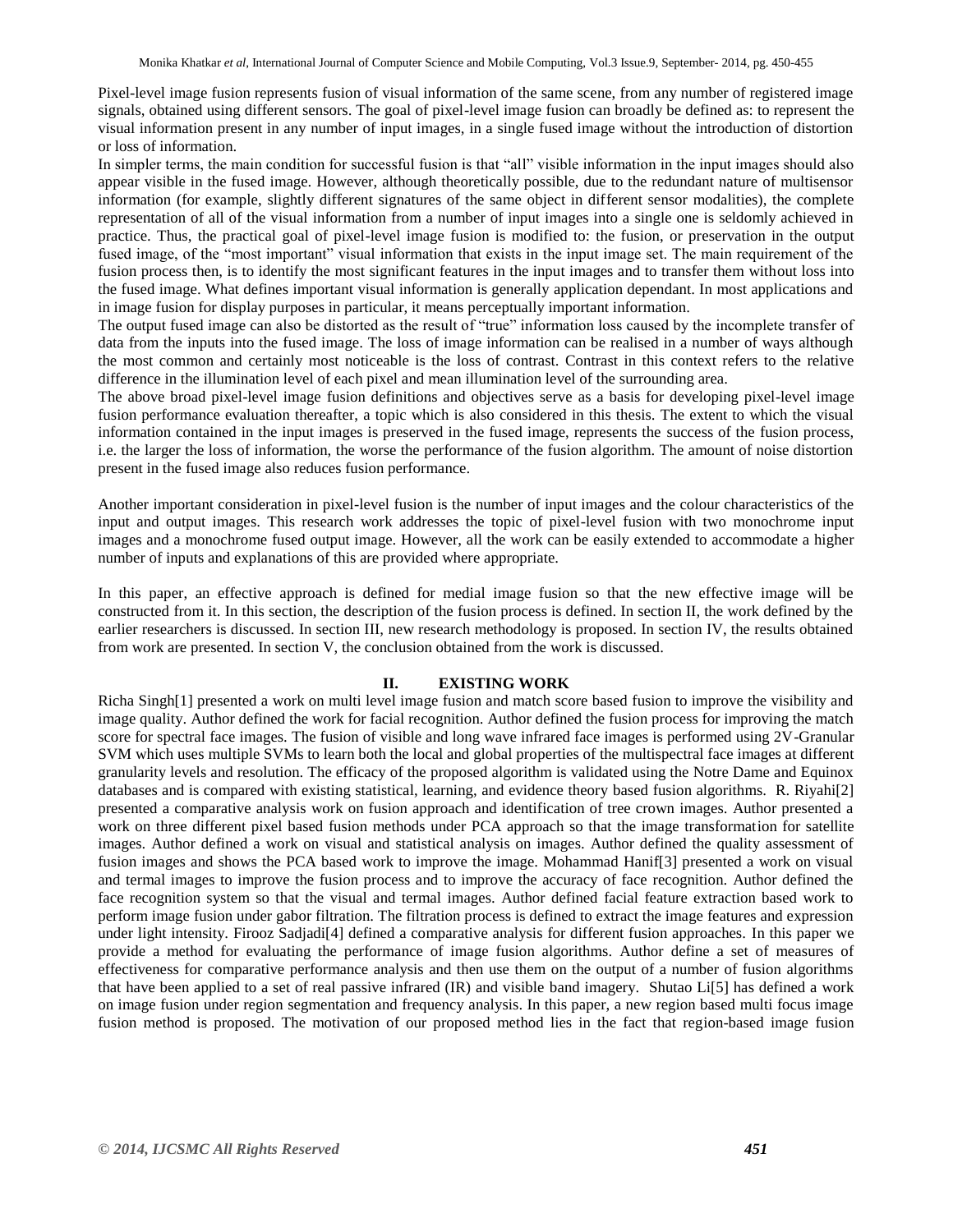Pixel-level image fusion represents fusion of visual information of the same scene, from any number of registered image signals, obtained using different sensors. The goal of pixel-level image fusion can broadly be defined as: to represent the visual information present in any number of input images, in a single fused image without the introduction of distortion or loss of information.

In simpler terms, the main condition for successful fusion is that "all" visible information in the input images should also appear visible in the fused image. However, although theoretically possible, due to the redundant nature of multisensor information (for example, slightly different signatures of the same object in different sensor modalities), the complete representation of all of the visual information from a number of input images into a single one is seldomly achieved in practice. Thus, the practical goal of pixel-level image fusion is modified to: the fusion, or preservation in the output fused image, of the "most important" visual information that exists in the input image set. The main requirement of the fusion process then, is to identify the most significant features in the input images and to transfer them without loss into the fused image. What defines important visual information is generally application dependant. In most applications and in image fusion for display purposes in particular, it means perceptually important information.

The output fused image can also be distorted as the result of "true" information loss caused by the incomplete transfer of data from the inputs into the fused image. The loss of image information can be realised in a number of ways although the most common and certainly most noticeable is the loss of contrast. Contrast in this context refers to the relative difference in the illumination level of each pixel and mean illumination level of the surrounding area.

The above broad pixel-level image fusion definitions and objectives serve as a basis for developing pixel-level image fusion performance evaluation thereafter, a topic which is also considered in this thesis. The extent to which the visual information contained in the input images is preserved in the fused image, represents the success of the fusion process, i.e. the larger the loss of information, the worse the performance of the fusion algorithm. The amount of noise distortion present in the fused image also reduces fusion performance.

Another important consideration in pixel-level fusion is the number of input images and the colour characteristics of the input and output images. This research work addresses the topic of pixel-level fusion with two monochrome input images and a monochrome fused output image. However, all the work can be easily extended to accommodate a higher number of inputs and explanations of this are provided where appropriate.

In this paper, an effective approach is defined for medial image fusion so that the new effective image will be constructed from it. In this section, the description of the fusion process is defined. In section II, the work defined by the earlier researchers is discussed. In section III, new research methodology is proposed. In section IV, the results obtained from work are presented. In section V, the conclusion obtained from the work is discussed.

#### **II. EXISTING WORK**

Richa Singh[1] presented a work on multi level image fusion and match score based fusion to improve the visibility and image quality. Author defined the work for facial recognition. Author defined the fusion process for improving the match score for spectral face images. The fusion of visible and long wave infrared face images is performed using 2V-Granular SVM which uses multiple SVMs to learn both the local and global properties of the multispectral face images at different granularity levels and resolution. The efficacy of the proposed algorithm is validated using the Notre Dame and Equinox databases and is compared with existing statistical, learning, and evidence theory based fusion algorithms. R. Riyahi[2] presented a comparative analysis work on fusion approach and identification of tree crown images. Author presented a work on three different pixel based fusion methods under PCA approach so that the image transformation for satellite images. Author defined a work on visual and statistical analysis on images. Author defined the quality assessment of fusion images and shows the PCA based work to improve the image. Mohammad Hanif[3] presented a work on visual and termal images to improve the fusion process and to improve the accuracy of face recognition. Author defined the face recognition system so that the visual and termal images. Author defined facial feature extraction based work to perform image fusion under gabor filtration. The filtration process is defined to extract the image features and expression under light intensity. Firooz Sadjadi[4] defined a comparative analysis for different fusion approaches. In this paper we provide a method for evaluating the performance of image fusion algorithms. Author define a set of measures of effectiveness for comparative performance analysis and then use them on the output of a number of fusion algorithms that have been applied to a set of real passive infrared (IR) and visible band imagery. Shutao Li[5] has defined a work on image fusion under region segmentation and frequency analysis. In this paper, a new region based multi focus image fusion method is proposed. The motivation of our proposed method lies in the fact that region-based image fusion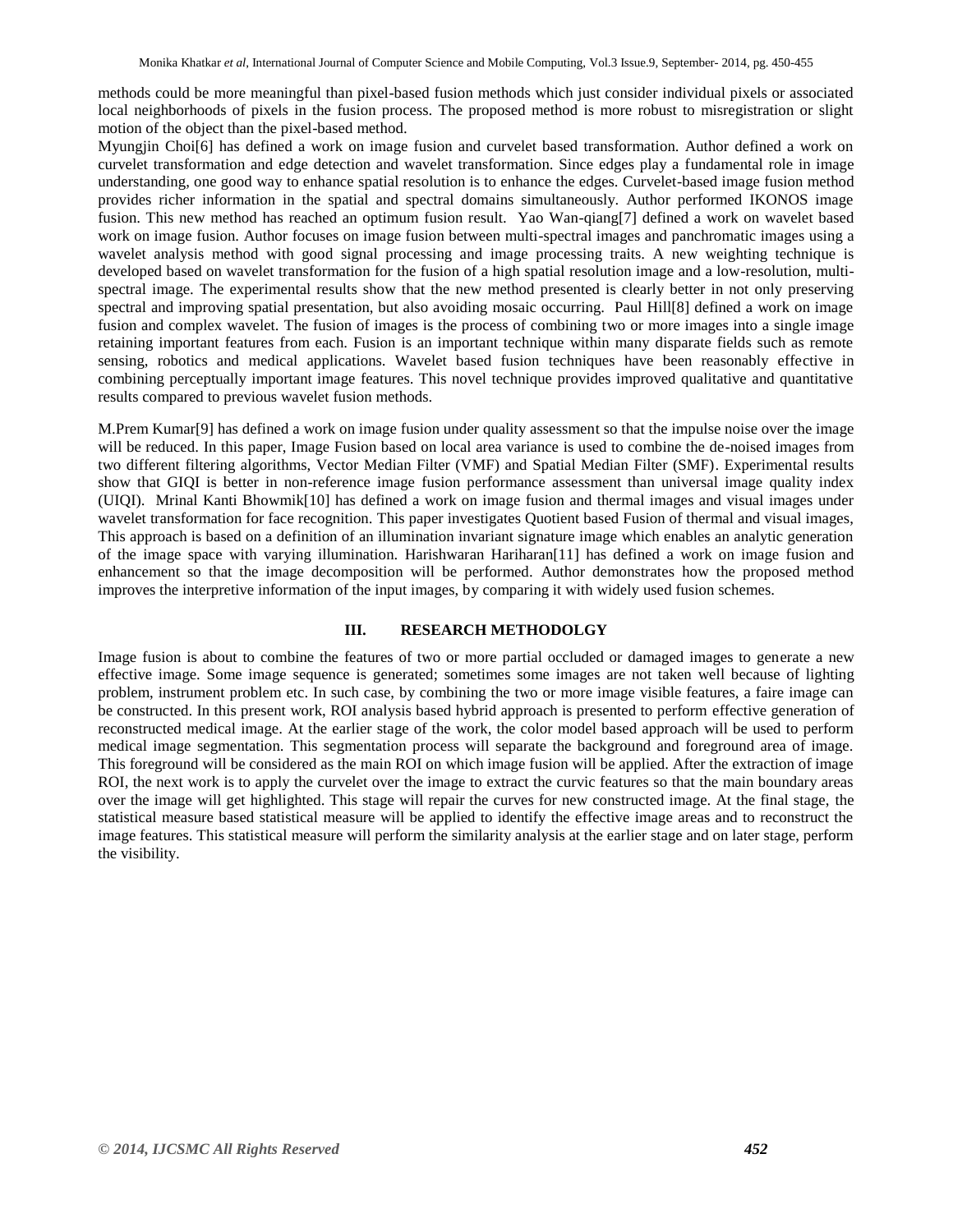methods could be more meaningful than pixel-based fusion methods which just consider individual pixels or associated local neighborhoods of pixels in the fusion process. The proposed method is more robust to misregistration or slight motion of the object than the pixel-based method.

Myungjin Choi[6] has defined a work on image fusion and curvelet based transformation. Author defined a work on curvelet transformation and edge detection and wavelet transformation. Since edges play a fundamental role in image understanding, one good way to enhance spatial resolution is to enhance the edges. Curvelet-based image fusion method provides richer information in the spatial and spectral domains simultaneously. Author performed IKONOS image fusion. This new method has reached an optimum fusion result. Yao Wan-qiang[7] defined a work on wavelet based work on image fusion. Author focuses on image fusion between multi-spectral images and panchromatic images using a wavelet analysis method with good signal processing and image processing traits. A new weighting technique is developed based on wavelet transformation for the fusion of a high spatial resolution image and a low-resolution, multispectral image. The experimental results show that the new method presented is clearly better in not only preserving spectral and improving spatial presentation, but also avoiding mosaic occurring. Paul Hill[8] defined a work on image fusion and complex wavelet. The fusion of images is the process of combining two or more images into a single image retaining important features from each. Fusion is an important technique within many disparate fields such as remote sensing, robotics and medical applications. Wavelet based fusion techniques have been reasonably effective in combining perceptually important image features. This novel technique provides improved qualitative and quantitative results compared to previous wavelet fusion methods.

M.Prem Kumar[9] has defined a work on image fusion under quality assessment so that the impulse noise over the image will be reduced. In this paper, Image Fusion based on local area variance is used to combine the de-noised images from two different filtering algorithms, Vector Median Filter (VMF) and Spatial Median Filter (SMF). Experimental results show that GIQI is better in non-reference image fusion performance assessment than universal image quality index (UIQI). Mrinal Kanti Bhowmik[10] has defined a work on image fusion and thermal images and visual images under wavelet transformation for face recognition. This paper investigates Quotient based Fusion of thermal and visual images, This approach is based on a definition of an illumination invariant signature image which enables an analytic generation of the image space with varying illumination. Harishwaran Hariharan[11] has defined a work on image fusion and enhancement so that the image decomposition will be performed. Author demonstrates how the proposed method improves the interpretive information of the input images, by comparing it with widely used fusion schemes.

#### **III. RESEARCH METHODOLGY**

Image fusion is about to combine the features of two or more partial occluded or damaged images to generate a new effective image. Some image sequence is generated; sometimes some images are not taken well because of lighting problem, instrument problem etc. In such case, by combining the two or more image visible features, a faire image can be constructed. In this present work, ROI analysis based hybrid approach is presented to perform effective generation of reconstructed medical image. At the earlier stage of the work, the color model based approach will be used to perform medical image segmentation. This segmentation process will separate the background and foreground area of image. This foreground will be considered as the main ROI on which image fusion will be applied. After the extraction of image ROI, the next work is to apply the curvelet over the image to extract the curvic features so that the main boundary areas over the image will get highlighted. This stage will repair the curves for new constructed image. At the final stage, the statistical measure based statistical measure will be applied to identify the effective image areas and to reconstruct the image features. This statistical measure will perform the similarity analysis at the earlier stage and on later stage, perform the visibility.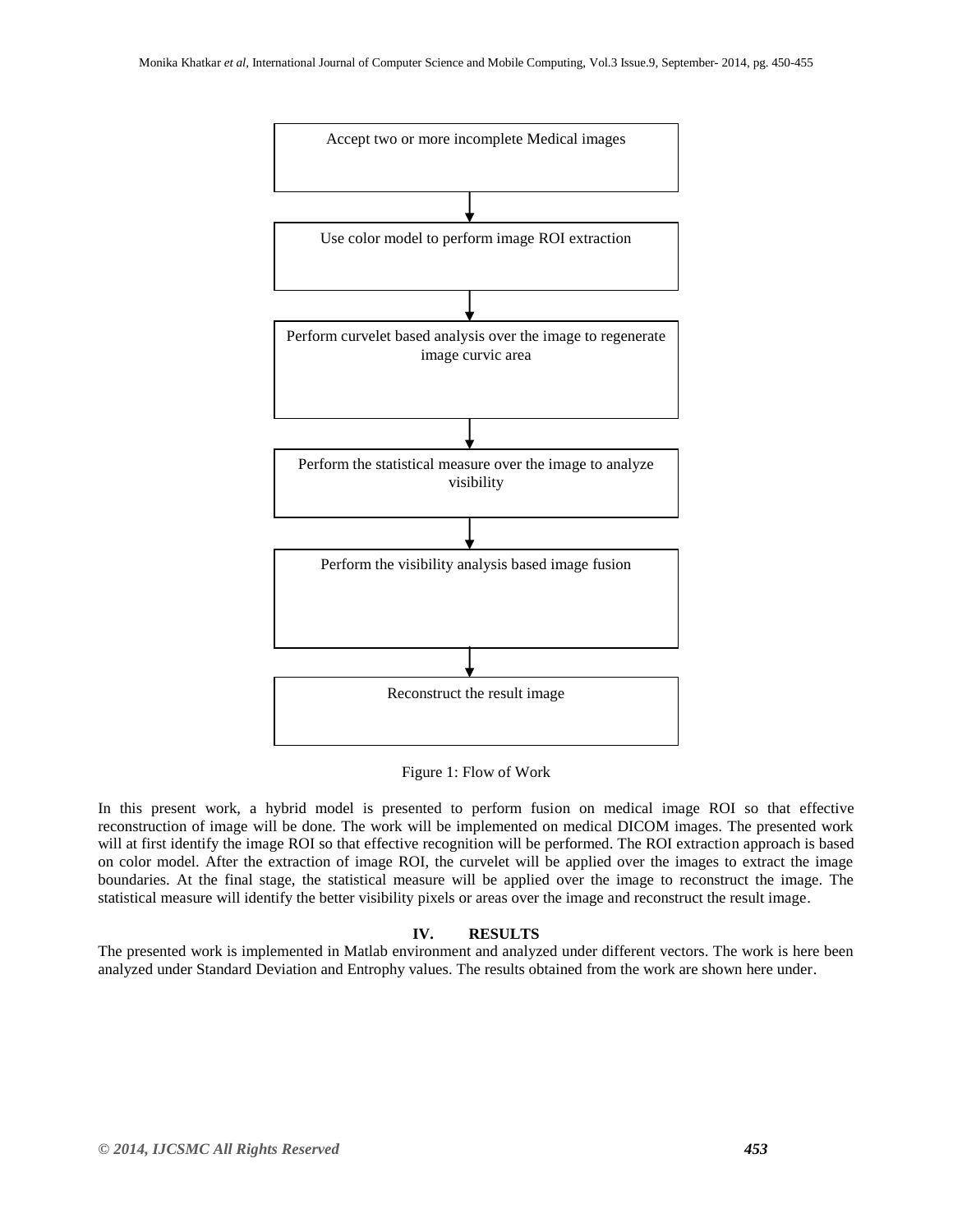

Figure 1: Flow of Work

In this present work, a hybrid model is presented to perform fusion on medical image ROI so that effective reconstruction of image will be done. The work will be implemented on medical DICOM images. The presented work will at first identify the image ROI so that effective recognition will be performed. The ROI extraction approach is based on color model. After the extraction of image ROI, the curvelet will be applied over the images to extract the image boundaries. At the final stage, the statistical measure will be applied over the image to reconstruct the image. The statistical measure will identify the better visibility pixels or areas over the image and reconstruct the result image.

## **IV. RESULTS**

The presented work is implemented in Matlab environment and analyzed under different vectors. The work is here been analyzed under Standard Deviation and Entrophy values. The results obtained from the work are shown here under.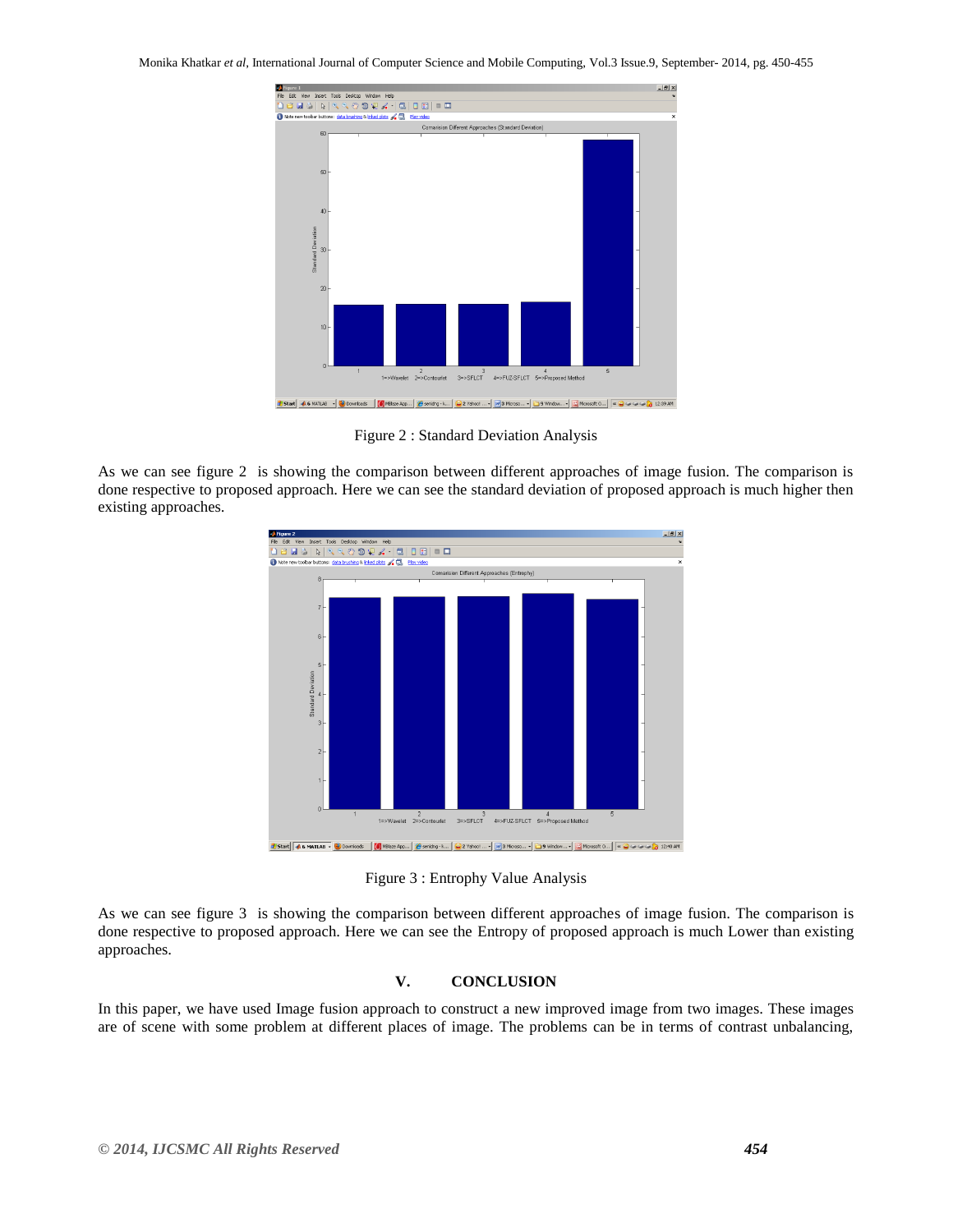Monika Khatkar *et al*, International Journal of Computer Science and Mobile Computing, Vol.3 Issue.9, September- 2014, pg. 450-455

| <b>D</b> Figure 1                                    |                                                                         |                          |                |          |  |                                 |   | $-12$        |
|------------------------------------------------------|-------------------------------------------------------------------------|--------------------------|----------------|----------|--|---------------------------------|---|--------------|
| File                                                 | Edit View Insert Tools Desktop Window Help                              |                          |                |          |  |                                 |   | $\mathbf{r}$ |
| ោមមាន                                                | P,<br>A,                                                                | 9.0994   0111            | $\blacksquare$ |          |  |                                 |   |              |
|                                                      | Note new toolbar buttons: data brushing & linked plots 2 8 2 Play video |                          |                |          |  |                                 |   | ×            |
| Comarision Different Approaches (Standard Deviation) |                                                                         |                          |                |          |  |                                 |   |              |
|                                                      | 60                                                                      |                          |                |          |  |                                 |   |              |
|                                                      | 50                                                                      |                          |                |          |  |                                 |   |              |
|                                                      | 40                                                                      |                          |                |          |  |                                 |   |              |
| <b>Standard Deviation</b>                            | 30                                                                      |                          |                |          |  |                                 |   |              |
|                                                      | 20                                                                      |                          |                |          |  |                                 |   |              |
|                                                      | 10<br>$\theta$                                                          |                          | $\overline{c}$ | 3        |  | 4                               | 5 |              |
|                                                      | <b>B</b> Start 4 6 MATLAB <b>B</b> Downloads                            | 1=>Wavelet 2=>Contourlet |                | 3=>SFLCT |  | 4=>FUZ-SFLCT 5=>Proposed Method |   |              |

Figure 2 : Standard Deviation Analysis

As we can see figure 2 is showing the comparison between different approaches of image fusion. The comparison is done respective to proposed approach. Here we can see the standard deviation of proposed approach is much higher then existing approaches.



Figure 3 : Entrophy Value Analysis

As we can see figure 3 is showing the comparison between different approaches of image fusion. The comparison is done respective to proposed approach. Here we can see the Entropy of proposed approach is much Lower than existing approaches.

## **V. CONCLUSION**

In this paper, we have used Image fusion approach to construct a new improved image from two images. These images are of scene with some problem at different places of image. The problems can be in terms of contrast unbalancing,